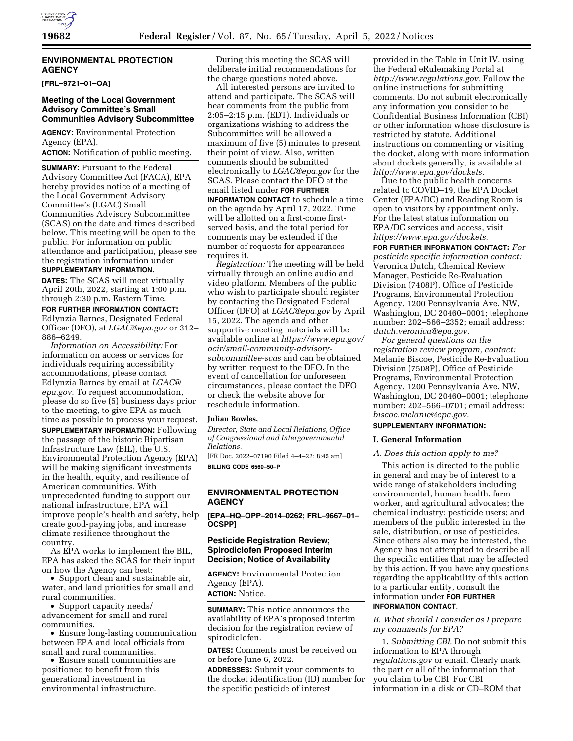

# **ENVIRONMENTAL PROTECTION AGENCY**

**[FRL–9721–01–OA]** 

## **Meeting of the Local Government Advisory Committee's Small Communities Advisory Subcommittee**

**AGENCY:** Environmental Protection Agency (EPA).

**ACTION:** Notification of public meeting.

**SUMMARY: Pursuant to the Federal** Advisory Committee Act (FACA), EPA hereby provides notice of a meeting of the Local Government Advisory Committee's (LGAC) Small Communities Advisory Subcommittee (SCAS) on the date and times described below. This meeting will be open to the public. For information on public attendance and participation, please see the registration information under

# **SUPPLEMENTARY INFORMATION**.

**DATES:** The SCAS will meet virtually April 20th, 2022, starting at 1:00 p.m. through 2:30 p.m. Eastern Time.

**FOR FURTHER INFORMATION CONTACT:**  Edlynzia Barnes, Designated Federal Officer (DFO), at *[LGAC@epa.gov](mailto:LGAC@epa.gov)* or 312– 886–6249.

*Information on Accessibility:* For information on access or services for individuals requiring accessibility accommodations, please contact Edlynzia Barnes by email at *[LGAC@](mailto:LGAC@epa.gov) [epa.gov.](mailto:LGAC@epa.gov)* To request accommodation, please do so five (5) business days prior to the meeting, to give EPA as much time as possible to process your request. **SUPPLEMENTARY INFORMATION:** Following the passage of the historic Bipartisan Infrastructure Law (BIL), the U.S. Environmental Protection Agency (EPA) will be making significant investments in the health, equity, and resilience of American communities. With unprecedented funding to support our national infrastructure, EPA will improve people's health and safety, help create good-paying jobs, and increase climate resilience throughout the country.

As EPA works to implement the BIL, EPA has asked the SCAS for their input on how the Agency can best:

• Support clean and sustainable air, water, and land priorities for small and rural communities.

• Support capacity needs/ advancement for small and rural communities.

• Ensure long-lasting communication between EPA and local officials from small and rural communities.

• Ensure small communities are positioned to benefit from this generational investment in environmental infrastructure.

During this meeting the SCAS will deliberate initial recommendations for the charge questions noted above.

All interested persons are invited to attend and participate. The SCAS will hear comments from the public from 2:05–2:15 p.m. (EDT). Individuals or organizations wishing to address the Subcommittee will be allowed a maximum of five (5) minutes to present their point of view. Also, written comments should be submitted electronically to *[LGAC@epa.gov](mailto:LGAC@epa.gov)* for the SCAS. Please contact the DFO at the email listed under **FOR FURTHER INFORMATION CONTACT** to schedule a time on the agenda by April 17, 2022. Time will be allotted on a first-come firstserved basis, and the total period for comments may be extended if the number of requests for appearances requires it.

*Registration:* The meeting will be held virtually through an online audio and video platform. Members of the public who wish to participate should register by contacting the Designated Federal Officer (DFO) at *[LGAC@epa.gov](mailto:LGAC@epa.gov)* by April 15, 2022. The agenda and other supportive meeting materials will be available online at *[https://www.epa.gov/](https://www.epa.gov/ocir/small-community-advisory-subcommittee-scas) [ocir/small-community-advisory](https://www.epa.gov/ocir/small-community-advisory-subcommittee-scas)[subcommittee-scas](https://www.epa.gov/ocir/small-community-advisory-subcommittee-scas)* and can be obtained by written request to the DFO. In the event of cancellation for unforeseen circumstances, please contact the DFO or check the website above for reschedule information.

#### **Julian Bowles,**

*Director, State and Local Relations, Office of Congressional and Intergovernmental Relations.* 

[FR Doc. 2022–07190 Filed 4–4–22; 8:45 am] **BILLING CODE 6560–50–P** 

# **ENVIRONMENTAL PROTECTION AGENCY**

**[EPA–HQ–OPP–2014–0262; FRL–9667–01– OCSPP]** 

# **Pesticide Registration Review; Spirodiclofen Proposed Interim Decision; Notice of Availability**

**AGENCY:** Environmental Protection Agency (EPA). **ACTION:** Notice.

**SUMMARY:** This notice announces the availability of EPA's proposed interim decision for the registration review of spirodiclofen.

**DATES:** Comments must be received on or before June 6, 2022.

**ADDRESSES:** Submit your comments to the docket identification (ID) number for the specific pesticide of interest

provided in the Table in Unit IV. using the Federal eRulemaking Portal at *[http://www.regulations.gov.](http://www.regulations.gov)* Follow the online instructions for submitting comments. Do not submit electronically any information you consider to be Confidential Business Information (CBI) or other information whose disclosure is restricted by statute. Additional instructions on commenting or visiting the docket, along with more information about dockets generally, is available at *[http://www.epa.gov/dockets.](http://www.epa.gov/dockets)* 

Due to the public health concerns related to COVID–19, the EPA Docket Center (EPA/DC) and Reading Room is open to visitors by appointment only. For the latest status information on EPA/DC services and access, visit *[https://www.epa.gov/dockets.](https://www.epa.gov/dockets)* 

**FOR FURTHER INFORMATION CONTACT:** *For pesticide specific information contact:*  Veronica Dutch, Chemical Review Manager, Pesticide Re-Evaluation Division (7408P), Office of Pesticide Programs, Environmental Protection Agency, 1200 Pennsylvania Ave. NW, Washington, DC 20460–0001; telephone number: 202–566–2352; email address: *[dutch.veronica@epa.gov.](mailto:dutch.veronica@epa.gov)* 

*For general questions on the registration review program, contact:*  Melanie Biscoe, Pesticide Re-Evaluation Division (7508P), Office of Pesticide Programs, Environmental Protection Agency, 1200 Pennsylvania Ave. NW, Washington, DC 20460–0001; telephone number: 202–566–0701; email address: *[biscoe.melanie@epa.gov.](mailto:biscoe.melanie@epa.gov)* 

# **SUPPLEMENTARY INFORMATION:**

#### **I. General Information**

### *A. Does this action apply to me?*

This action is directed to the public in general and may be of interest to a wide range of stakeholders including environmental, human health, farm worker, and agricultural advocates; the chemical industry; pesticide users; and members of the public interested in the sale, distribution, or use of pesticides. Since others also may be interested, the Agency has not attempted to describe all the specific entities that may be affected by this action. If you have any questions regarding the applicability of this action to a particular entity, consult the information under **FOR FURTHER INFORMATION CONTACT**.

## *B. What should I consider as I prepare my comments for EPA?*

1. *Submitting CBI.* Do not submit this information to EPA through *regulations.gov* or email. Clearly mark the part or all of the information that you claim to be CBI. For CBI information in a disk or CD–ROM that